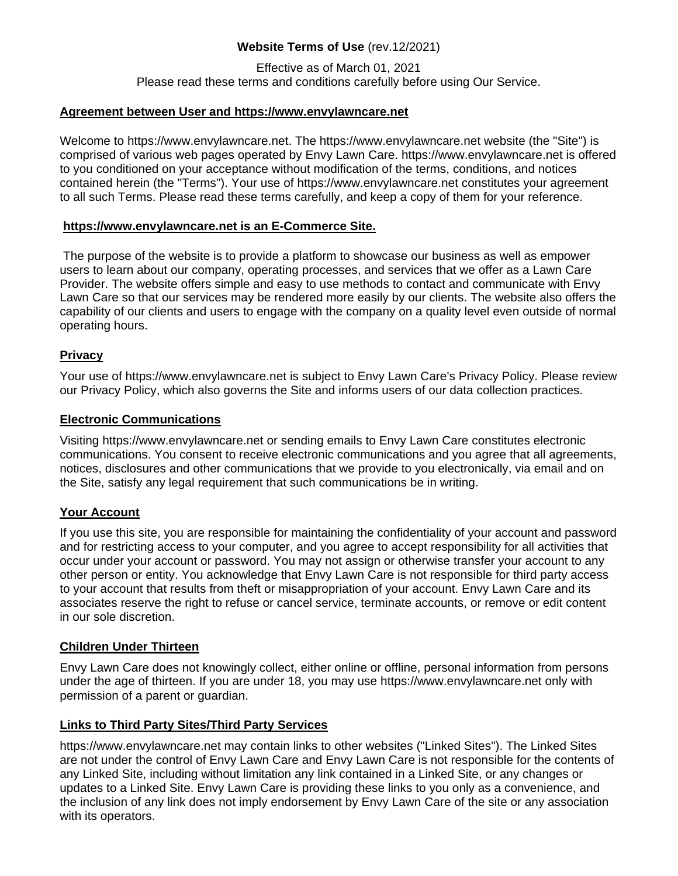## **Website Terms of Use** (rev.12/2021)

Effective as of March 01, 2021 Please read these terms and conditions carefully before using Our Service.

#### **Agreement between User and https://www.envylawncare.net**

Welcome to https://www.envylawncare.net. The https://www.envylawncare.net website (the "Site") is comprised of various web pages operated by Envy Lawn Care. https://www.envylawncare.net is offered to you conditioned on your acceptance without modification of the terms, conditions, and notices contained herein (the "Terms"). Your use of https://www.envylawncare.net constitutes your agreement to all such Terms. Please read these terms carefully, and keep a copy of them for your reference.

#### **https://www.envylawncare.net is an E-Commerce Site.**

The purpose of the website is to provide a platform to showcase our business as well as empower users to learn about our company, operating processes, and services that we offer as a Lawn Care Provider. The website offers simple and easy to use methods to contact and communicate with Envy Lawn Care so that our services may be rendered more easily by our clients. The website also offers the capability of our clients and users to engage with the company on a quality level even outside of normal operating hours.

# **Privacy**

Your use of https://www.envylawncare.net is subject to Envy Lawn Care's Privacy Policy. Please review our Privacy Policy, which also governs the Site and informs users of our data collection practices.

### **Electronic Communications**

Visiting https://www.envylawncare.net or sending emails to Envy Lawn Care constitutes electronic communications. You consent to receive electronic communications and you agree that all agreements, notices, disclosures and other communications that we provide to you electronically, via email and on the Site, satisfy any legal requirement that such communications be in writing.

### **Your Account**

If you use this site, you are responsible for maintaining the confidentiality of your account and password and for restricting access to your computer, and you agree to accept responsibility for all activities that occur under your account or password. You may not assign or otherwise transfer your account to any other person or entity. You acknowledge that Envy Lawn Care is not responsible for third party access to your account that results from theft or misappropriation of your account. Envy Lawn Care and its associates reserve the right to refuse or cancel service, terminate accounts, or remove or edit content in our sole discretion.

#### **Children Under Thirteen**

Envy Lawn Care does not knowingly collect, either online or offline, personal information from persons under the age of thirteen. If you are under 18, you may use https://www.envylawncare.net only with permission of a parent or guardian.

### **Links to Third Party Sites/Third Party Services**

https://www.envylawncare.net may contain links to other websites ("Linked Sites"). The Linked Sites are not under the control of Envy Lawn Care and Envy Lawn Care is not responsible for the contents of any Linked Site, including without limitation any link contained in a Linked Site, or any changes or updates to a Linked Site. Envy Lawn Care is providing these links to you only as a convenience, and the inclusion of any link does not imply endorsement by Envy Lawn Care of the site or any association with its operators.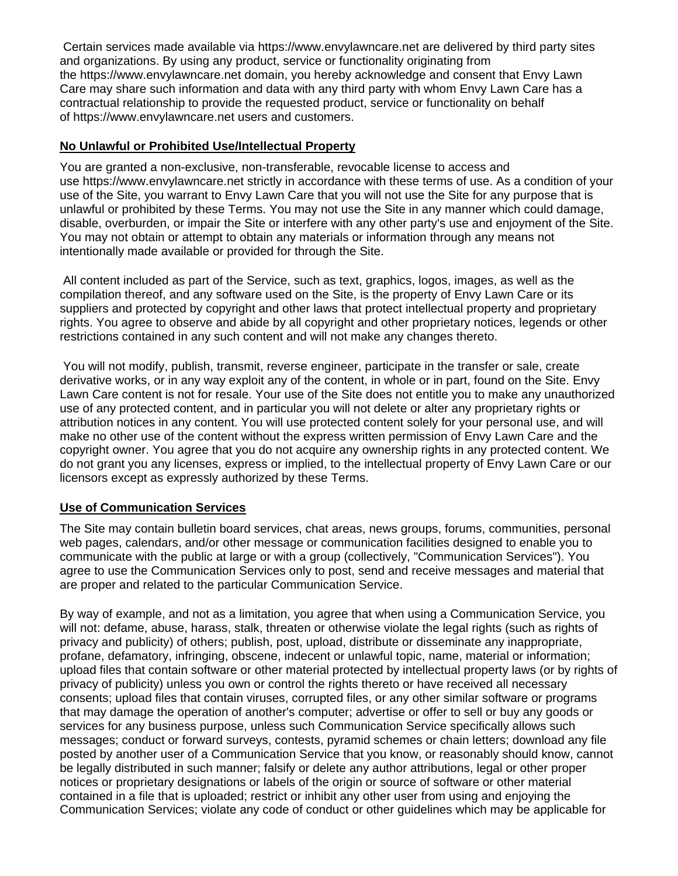Certain services made available via https://www.envylawncare.net are delivered by third party sites and organizations. By using any product, service or functionality originating from the https://www.envylawncare.net domain, you hereby acknowledge and consent that Envy Lawn Care may share such information and data with any third party with whom Envy Lawn Care has a contractual relationship to provide the requested product, service or functionality on behalf of https://www.envylawncare.net users and customers.

### **No Unlawful or Prohibited Use/Intellectual Property**

You are granted a non-exclusive, non-transferable, revocable license to access and use https://www.envylawncare.net strictly in accordance with these terms of use. As a condition of your use of the Site, you warrant to Envy Lawn Care that you will not use the Site for any purpose that is unlawful or prohibited by these Terms. You may not use the Site in any manner which could damage, disable, overburden, or impair the Site or interfere with any other party's use and enjoyment of the Site. You may not obtain or attempt to obtain any materials or information through any means not intentionally made available or provided for through the Site.

All content included as part of the Service, such as text, graphics, logos, images, as well as the compilation thereof, and any software used on the Site, is the property of Envy Lawn Care or its suppliers and protected by copyright and other laws that protect intellectual property and proprietary rights. You agree to observe and abide by all copyright and other proprietary notices, legends or other restrictions contained in any such content and will not make any changes thereto.

You will not modify, publish, transmit, reverse engineer, participate in the transfer or sale, create derivative works, or in any way exploit any of the content, in whole or in part, found on the Site. Envy Lawn Care content is not for resale. Your use of the Site does not entitle you to make any unauthorized use of any protected content, and in particular you will not delete or alter any proprietary rights or attribution notices in any content. You will use protected content solely for your personal use, and will make no other use of the content without the express written permission of Envy Lawn Care and the copyright owner. You agree that you do not acquire any ownership rights in any protected content. We do not grant you any licenses, express or implied, to the intellectual property of Envy Lawn Care or our licensors except as expressly authorized by these Terms.

### **Use of Communication Services**

The Site may contain bulletin board services, chat areas, news groups, forums, communities, personal web pages, calendars, and/or other message or communication facilities designed to enable you to communicate with the public at large or with a group (collectively, "Communication Services"). You agree to use the Communication Services only to post, send and receive messages and material that are proper and related to the particular Communication Service.

By way of example, and not as a limitation, you agree that when using a Communication Service, you will not: defame, abuse, harass, stalk, threaten or otherwise violate the legal rights (such as rights of privacy and publicity) of others; publish, post, upload, distribute or disseminate any inappropriate, profane, defamatory, infringing, obscene, indecent or unlawful topic, name, material or information; upload files that contain software or other material protected by intellectual property laws (or by rights of privacy of publicity) unless you own or control the rights thereto or have received all necessary consents; upload files that contain viruses, corrupted files, or any other similar software or programs that may damage the operation of another's computer; advertise or offer to sell or buy any goods or services for any business purpose, unless such Communication Service specifically allows such messages; conduct or forward surveys, contests, pyramid schemes or chain letters; download any file posted by another user of a Communication Service that you know, or reasonably should know, cannot be legally distributed in such manner; falsify or delete any author attributions, legal or other proper notices or proprietary designations or labels of the origin or source of software or other material contained in a file that is uploaded; restrict or inhibit any other user from using and enjoying the Communication Services; violate any code of conduct or other guidelines which may be applicable for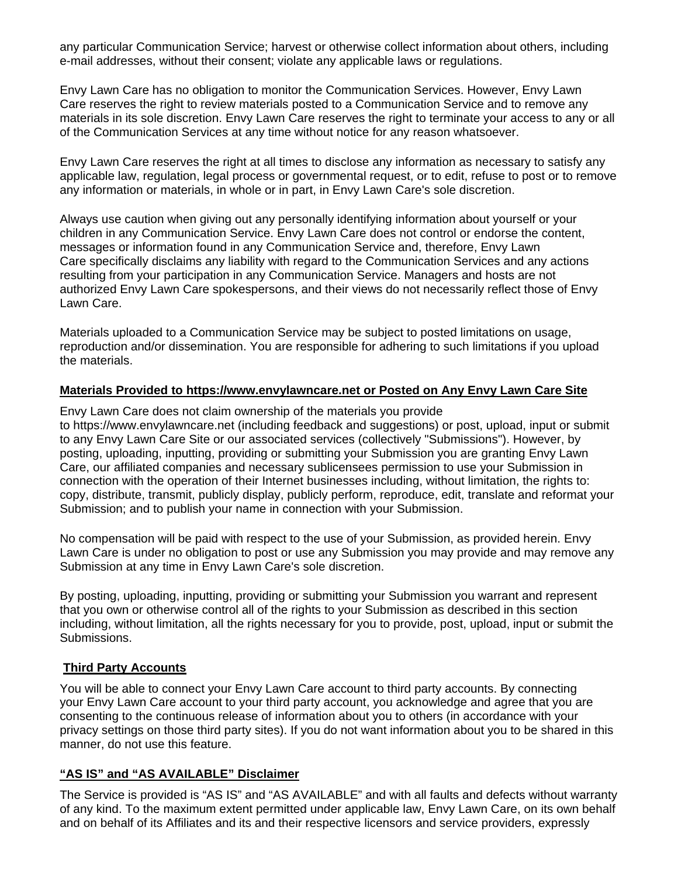any particular Communication Service; harvest or otherwise collect information about others, including e-mail addresses, without their consent; violate any applicable laws or regulations.

Envy Lawn Care has no obligation to monitor the Communication Services. However, Envy Lawn Care reserves the right to review materials posted to a Communication Service and to remove any materials in its sole discretion. Envy Lawn Care reserves the right to terminate your access to any or all of the Communication Services at any time without notice for any reason whatsoever.

Envy Lawn Care reserves the right at all times to disclose any information as necessary to satisfy any applicable law, regulation, legal process or governmental request, or to edit, refuse to post or to remove any information or materials, in whole or in part, in Envy Lawn Care's sole discretion.

Always use caution when giving out any personally identifying information about yourself or your children in any Communication Service. Envy Lawn Care does not control or endorse the content, messages or information found in any Communication Service and, therefore, Envy Lawn Care specifically disclaims any liability with regard to the Communication Services and any actions resulting from your participation in any Communication Service. Managers and hosts are not authorized Envy Lawn Care spokespersons, and their views do not necessarily reflect those of Envy Lawn Care.

Materials uploaded to a Communication Service may be subject to posted limitations on usage, reproduction and/or dissemination. You are responsible for adhering to such limitations if you upload the materials.

#### **Materials Provided to https://www.envylawncare.net or Posted on Any Envy Lawn Care Site**

Envy Lawn Care does not claim ownership of the materials you provide to https://www.envylawncare.net (including feedback and suggestions) or post, upload, input or submit to any Envy Lawn Care Site or our associated services (collectively "Submissions"). However, by posting, uploading, inputting, providing or submitting your Submission you are granting Envy Lawn Care, our affiliated companies and necessary sublicensees permission to use your Submission in connection with the operation of their Internet businesses including, without limitation, the rights to: copy, distribute, transmit, publicly display, publicly perform, reproduce, edit, translate and reformat your Submission; and to publish your name in connection with your Submission.

No compensation will be paid with respect to the use of your Submission, as provided herein. Envy Lawn Care is under no obligation to post or use any Submission you may provide and may remove any Submission at any time in Envy Lawn Care's sole discretion.

By posting, uploading, inputting, providing or submitting your Submission you warrant and represent that you own or otherwise control all of the rights to your Submission as described in this section including, without limitation, all the rights necessary for you to provide, post, upload, input or submit the Submissions.

### **Third Party Accounts**

You will be able to connect your Envy Lawn Care account to third party accounts. By connecting your Envy Lawn Care account to your third party account, you acknowledge and agree that you are consenting to the continuous release of information about you to others (in accordance with your privacy settings on those third party sites). If you do not want information about you to be shared in this manner, do not use this feature.

### **"AS IS" and "AS AVAILABLE" Disclaimer**

The Service is provided is "AS IS" and "AS AVAILABLE" and with all faults and defects without warranty of any kind. To the maximum extent permitted under applicable law, Envy Lawn Care, on its own behalf and on behalf of its Affiliates and its and their respective licensors and service providers, expressly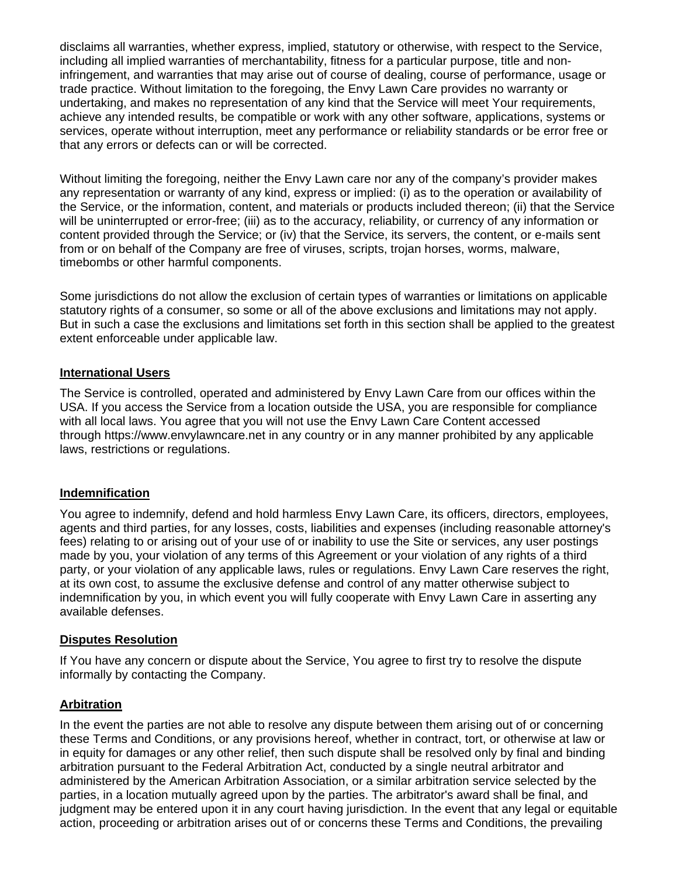disclaims all warranties, whether express, implied, statutory or otherwise, with respect to the Service, including all implied warranties of merchantability, fitness for a particular purpose, title and noninfringement, and warranties that may arise out of course of dealing, course of performance, usage or trade practice. Without limitation to the foregoing, the Envy Lawn Care provides no warranty or undertaking, and makes no representation of any kind that the Service will meet Your requirements, achieve any intended results, be compatible or work with any other software, applications, systems or services, operate without interruption, meet any performance or reliability standards or be error free or that any errors or defects can or will be corrected.

Without limiting the foregoing, neither the Envy Lawn care nor any of the company's provider makes any representation or warranty of any kind, express or implied: (i) as to the operation or availability of the Service, or the information, content, and materials or products included thereon; (ii) that the Service will be uninterrupted or error-free; (iii) as to the accuracy, reliability, or currency of any information or content provided through the Service; or (iv) that the Service, its servers, the content, or e-mails sent from or on behalf of the Company are free of viruses, scripts, trojan horses, worms, malware, timebombs or other harmful components.

Some jurisdictions do not allow the exclusion of certain types of warranties or limitations on applicable statutory rights of a consumer, so some or all of the above exclusions and limitations may not apply. But in such a case the exclusions and limitations set forth in this section shall be applied to the greatest extent enforceable under applicable law.

#### **International Users**

The Service is controlled, operated and administered by Envy Lawn Care from our offices within the USA. If you access the Service from a location outside the USA, you are responsible for compliance with all local laws. You agree that you will not use the Envy Lawn Care Content accessed through https://www.envylawncare.net in any country or in any manner prohibited by any applicable laws, restrictions or regulations.

### **Indemnification**

You agree to indemnify, defend and hold harmless Envy Lawn Care, its officers, directors, employees, agents and third parties, for any losses, costs, liabilities and expenses (including reasonable attorney's fees) relating to or arising out of your use of or inability to use the Site or services, any user postings made by you, your violation of any terms of this Agreement or your violation of any rights of a third party, or your violation of any applicable laws, rules or regulations. Envy Lawn Care reserves the right, at its own cost, to assume the exclusive defense and control of any matter otherwise subject to indemnification by you, in which event you will fully cooperate with Envy Lawn Care in asserting any available defenses.

#### **Disputes Resolution**

If You have any concern or dispute about the Service, You agree to first try to resolve the dispute informally by contacting the Company.

### **Arbitration**

In the event the parties are not able to resolve any dispute between them arising out of or concerning these Terms and Conditions, or any provisions hereof, whether in contract, tort, or otherwise at law or in equity for damages or any other relief, then such dispute shall be resolved only by final and binding arbitration pursuant to the Federal Arbitration Act, conducted by a single neutral arbitrator and administered by the American Arbitration Association, or a similar arbitration service selected by the parties, in a location mutually agreed upon by the parties. The arbitrator's award shall be final, and judgment may be entered upon it in any court having jurisdiction. In the event that any legal or equitable action, proceeding or arbitration arises out of or concerns these Terms and Conditions, the prevailing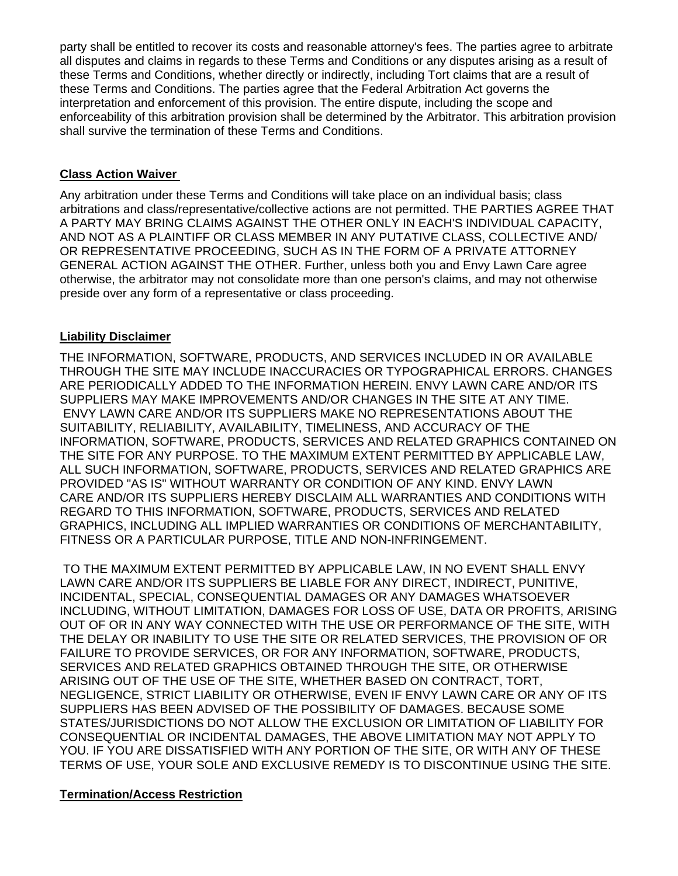party shall be entitled to recover its costs and reasonable attorney's fees. The parties agree to arbitrate all disputes and claims in regards to these Terms and Conditions or any disputes arising as a result of these Terms and Conditions, whether directly or indirectly, including Tort claims that are a result of these Terms and Conditions. The parties agree that the Federal Arbitration Act governs the interpretation and enforcement of this provision. The entire dispute, including the scope and enforceability of this arbitration provision shall be determined by the Arbitrator. This arbitration provision shall survive the termination of these Terms and Conditions.

### **Class Action Waiver**

Any arbitration under these Terms and Conditions will take place on an individual basis; class arbitrations and class/representative/collective actions are not permitted. THE PARTIES AGREE THAT A PARTY MAY BRING CLAIMS AGAINST THE OTHER ONLY IN EACH'S INDIVIDUAL CAPACITY, AND NOT AS A PLAINTIFF OR CLASS MEMBER IN ANY PUTATIVE CLASS, COLLECTIVE AND/ OR REPRESENTATIVE PROCEEDING, SUCH AS IN THE FORM OF A PRIVATE ATTORNEY GENERAL ACTION AGAINST THE OTHER. Further, unless both you and Envy Lawn Care agree otherwise, the arbitrator may not consolidate more than one person's claims, and may not otherwise preside over any form of a representative or class proceeding.

# **Liability Disclaimer**

THE INFORMATION, SOFTWARE, PRODUCTS, AND SERVICES INCLUDED IN OR AVAILABLE THROUGH THE SITE MAY INCLUDE INACCURACIES OR TYPOGRAPHICAL ERRORS. CHANGES ARE PERIODICALLY ADDED TO THE INFORMATION HEREIN. ENVY LAWN CARE AND/OR ITS SUPPLIERS MAY MAKE IMPROVEMENTS AND/OR CHANGES IN THE SITE AT ANY TIME. ENVY LAWN CARE AND/OR ITS SUPPLIERS MAKE NO REPRESENTATIONS ABOUT THE SUITABILITY, RELIABILITY, AVAILABILITY, TIMELINESS, AND ACCURACY OF THE INFORMATION, SOFTWARE, PRODUCTS, SERVICES AND RELATED GRAPHICS CONTAINED ON THE SITE FOR ANY PURPOSE. TO THE MAXIMUM EXTENT PERMITTED BY APPLICABLE LAW, ALL SUCH INFORMATION, SOFTWARE, PRODUCTS, SERVICES AND RELATED GRAPHICS ARE PROVIDED "AS IS" WITHOUT WARRANTY OR CONDITION OF ANY KIND. ENVY LAWN CARE AND/OR ITS SUPPLIERS HEREBY DISCLAIM ALL WARRANTIES AND CONDITIONS WITH REGARD TO THIS INFORMATION, SOFTWARE, PRODUCTS, SERVICES AND RELATED GRAPHICS, INCLUDING ALL IMPLIED WARRANTIES OR CONDITIONS OF MERCHANTABILITY, FITNESS OR A PARTICULAR PURPOSE, TITLE AND NON-INFRINGEMENT.

TO THE MAXIMUM EXTENT PERMITTED BY APPLICABLE LAW, IN NO EVENT SHALL ENVY LAWN CARE AND/OR ITS SUPPLIERS BE LIABLE FOR ANY DIRECT, INDIRECT, PUNITIVE, INCIDENTAL, SPECIAL, CONSEQUENTIAL DAMAGES OR ANY DAMAGES WHATSOEVER INCLUDING, WITHOUT LIMITATION, DAMAGES FOR LOSS OF USE, DATA OR PROFITS, ARISING OUT OF OR IN ANY WAY CONNECTED WITH THE USE OR PERFORMANCE OF THE SITE, WITH THE DELAY OR INABILITY TO USE THE SITE OR RELATED SERVICES, THE PROVISION OF OR FAILURE TO PROVIDE SERVICES, OR FOR ANY INFORMATION, SOFTWARE, PRODUCTS, SERVICES AND RELATED GRAPHICS OBTAINED THROUGH THE SITE, OR OTHERWISE ARISING OUT OF THE USE OF THE SITE, WHETHER BASED ON CONTRACT, TORT, NEGLIGENCE, STRICT LIABILITY OR OTHERWISE, EVEN IF ENVY LAWN CARE OR ANY OF ITS SUPPLIERS HAS BEEN ADVISED OF THE POSSIBILITY OF DAMAGES. BECAUSE SOME STATES/JURISDICTIONS DO NOT ALLOW THE EXCLUSION OR LIMITATION OF LIABILITY FOR CONSEQUENTIAL OR INCIDENTAL DAMAGES, THE ABOVE LIMITATION MAY NOT APPLY TO YOU. IF YOU ARE DISSATISFIED WITH ANY PORTION OF THE SITE, OR WITH ANY OF THESE TERMS OF USE, YOUR SOLE AND EXCLUSIVE REMEDY IS TO DISCONTINUE USING THE SITE.

### **Termination/Access Restriction**